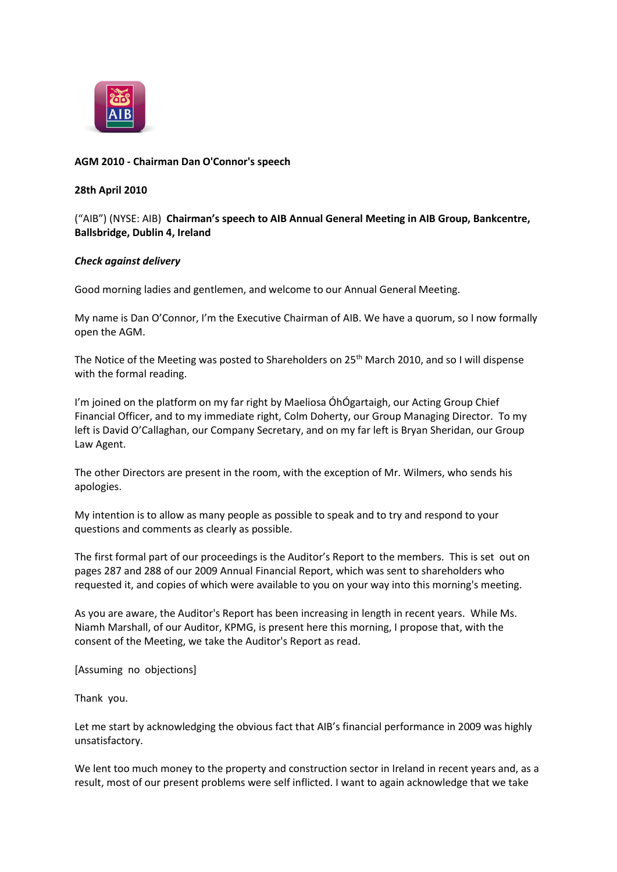

## **AGM 2010 - Chairman Dan O'Connor's speech**

## **28th April 2010**

("AIB") (NYSE: AIB) **Chairman's speech to AIB Annual General Meeting in AIB Group, Bankcentre, Ballsbridge, Dublin 4, Ireland**

## *Check against delivery*

Good morning ladies and gentlemen, and welcome to our Annual General Meeting.

My name is Dan O'Connor, I'm the Executive Chairman of AIB. We have a quorum, so I now formally open the AGM.

The Notice of the Meeting was posted to Shareholders on 25<sup>th</sup> March 2010, and so I will dispense with the formal reading.

I'm joined on the platform on my far right by Maeliosa ÓhÓgartaigh, our Acting Group Chief Financial Officer, and to my immediate right, Colm Doherty, our Group Managing Director. To my left is David O'Callaghan, our Company Secretary, and on my far left is Bryan Sheridan, our Group Law Agent.

The other Directors are present in the room, with the exception of Mr. Wilmers, who sends his apologies.

My intention is to allow as many people as possible to speak and to try and respond to your questions and comments as clearly as possible.

The first formal part of our proceedings is the Auditor's Report to the members. This is set out on pages 287 and 288 of our 2009 Annual Financial Report, which was sent to shareholders who requested it, and copies of which were available to you on your way into this morning's meeting.

As you are aware, the Auditor's Report has been increasing in length in recent years. While Ms. Niamh Marshall, of our Auditor, KPMG, is present here this morning, I propose that, with the consent of the Meeting, we take the Auditor's Report as read.

[Assuming no objections]

Thank you.

Let me start by acknowledging the obvious fact that AIB's financial performance in 2009 was highly unsatisfactory.

We lent too much money to the property and construction sector in Ireland in recent years and, as a result, most of our present problems were self inflicted. I want to again acknowledge that we take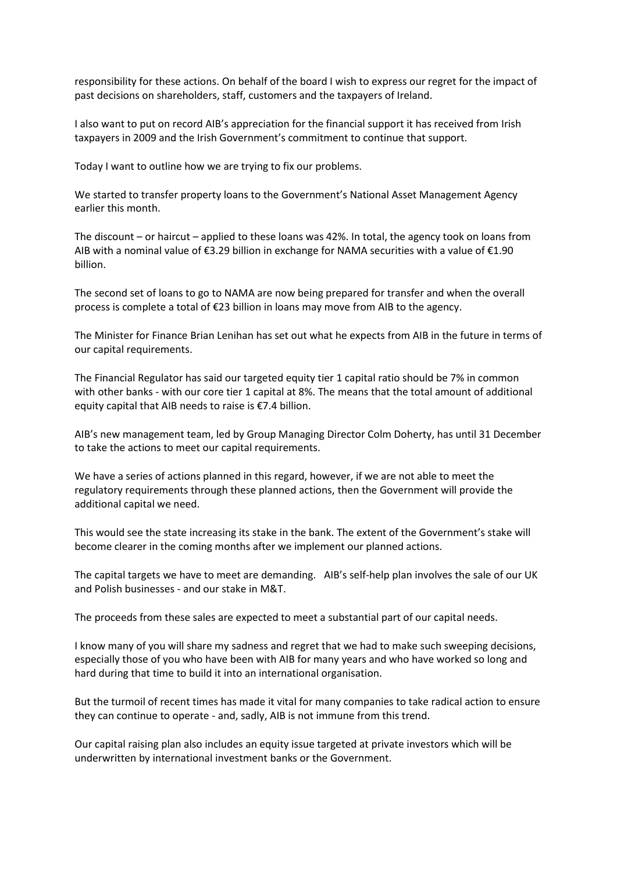responsibility for these actions. On behalf of the board I wish to express our regret for the impact of past decisions on shareholders, staff, customers and the taxpayers of Ireland.

I also want to put on record AIB's appreciation for the financial support it has received from Irish taxpayers in 2009 and the Irish Government's commitment to continue that support.

Today I want to outline how we are trying to fix our problems.

We started to transfer property loans to the Government's National Asset Management Agency earlier this month.

The discount – or haircut – applied to these loans was 42%. In total, the agency took on loans from AIB with a nominal value of €3.29 billion in exchange for NAMA securities with a value of €1.90 billion.

The second set of loans to go to NAMA are now being prepared for transfer and when the overall process is complete a total of €23 billion in loans may move from AIB to the agency.

The Minister for Finance Brian Lenihan has set out what he expects from AIB in the future in terms of our capital requirements.

The Financial Regulator has said our targeted equity tier 1 capital ratio should be 7% in common with other banks - with our core tier 1 capital at 8%. The means that the total amount of additional equity capital that AIB needs to raise is €7.4 billion.

AIB's new management team, led by Group Managing Director Colm Doherty, has until 31 December to take the actions to meet our capital requirements.

We have a series of actions planned in this regard, however, if we are not able to meet the regulatory requirements through these planned actions, then the Government will provide the additional capital we need.

This would see the state increasing its stake in the bank. The extent of the Government's stake will become clearer in the coming months after we implement our planned actions.

The capital targets we have to meet are demanding. AIB's self-help plan involves the sale of our UK and Polish businesses - and our stake in M&T.

The proceeds from these sales are expected to meet a substantial part of our capital needs.

I know many of you will share my sadness and regret that we had to make such sweeping decisions, especially those of you who have been with AIB for many years and who have worked so long and hard during that time to build it into an international organisation.

But the turmoil of recent times has made it vital for many companies to take radical action to ensure they can continue to operate - and, sadly, AIB is not immune from this trend.

Our capital raising plan also includes an equity issue targeted at private investors which will be underwritten by international investment banks or the Government.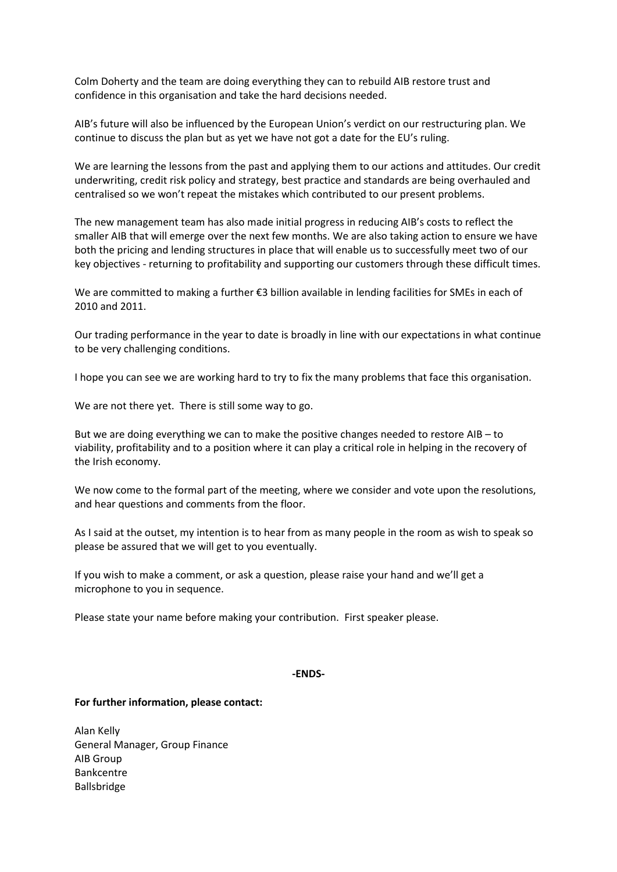Colm Doherty and the team are doing everything they can to rebuild AIB restore trust and confidence in this organisation and take the hard decisions needed.

AIB's future will also be influenced by the European Union's verdict on our restructuring plan. We continue to discuss the plan but as yet we have not got a date for the EU's ruling.

We are learning the lessons from the past and applying them to our actions and attitudes. Our credit underwriting, credit risk policy and strategy, best practice and standards are being overhauled and centralised so we won't repeat the mistakes which contributed to our present problems.

The new management team has also made initial progress in reducing AIB's costs to reflect the smaller AIB that will emerge over the next few months. We are also taking action to ensure we have both the pricing and lending structures in place that will enable us to successfully meet two of our key objectives - returning to profitability and supporting our customers through these difficult times.

We are committed to making a further €3 billion available in lending facilities for SMEs in each of 2010 and 2011.

Our trading performance in the year to date is broadly in line with our expectations in what continue to be very challenging conditions.

I hope you can see we are working hard to try to fix the many problems that face this organisation.

We are not there yet. There is still some way to go.

But we are doing everything we can to make the positive changes needed to restore AIB – to viability, profitability and to a position where it can play a critical role in helping in the recovery of the Irish economy.

We now come to the formal part of the meeting, where we consider and vote upon the resolutions, and hear questions and comments from the floor.

As I said at the outset, my intention is to hear from as many people in the room as wish to speak so please be assured that we will get to you eventually.

If you wish to make a comment, or ask a question, please raise your hand and we'll get a microphone to you in sequence.

Please state your name before making your contribution. First speaker please.

## **-ENDS-**

**For further information, please contact:**

Alan Kelly General Manager, Group Finance AIB Group Bankcentre Ballsbridge